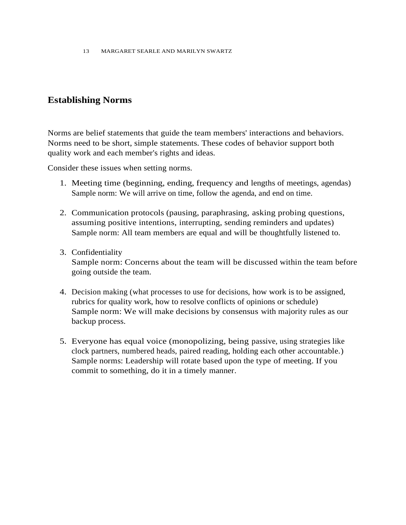13 MARGARET SEARLE AND MARILYN SWARTZ

# **Establishing Norms**

Norms are belief statements that guide the team members' interactions and behaviors. Norms need to be short, simple statements. These codes of behavior support both quality work and each member's rights and ideas.

Consider these issues when setting norms.

- 1. Meeting time (beginning, ending, frequency and lengths of meetings, agendas) Sample norm: We will arrive on time, follow the agenda, and end on time.
- 2. Communication protocols (pausing, paraphrasing, asking probing questions, assuming positive intentions, interrupting, sending reminders and updates) Sample norm: All team members are equal and will be thoughtfully listened to.
- 3. Confidentiality

Sample norm: Concerns about the team will be discussed within the team before going outside the team.

- 4. Decision making (what processes to use for decisions, how work is to be assigned, rubrics for quality work, how to resolve conflicts of opinions or schedule) Sample norm: We will make decisions by consensus with majority rules as our backup process.
- 5. Everyone has equal voice (monopolizing, being passive, using strategies like clock partners, numbered heads, paired reading, holding each other accountable.) Sample norms: Leadership will rotate based upon the type of meeting. If you commit to something, do it in a timely manner.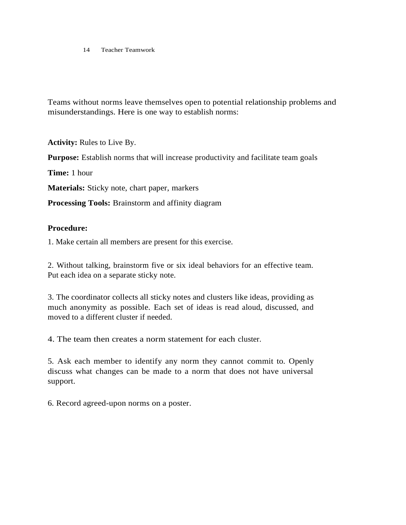14 Teacher Teamwork

Teams without norms leave themselves open to potential relationship problems and misunderstandings. Here is one way to establish norms:

**Activity:** Rules to Live By.

**Purpose:** Establish norms that will increase productivity and facilitate team goals

**Time:** 1 hour

**Materials:** Sticky note, chart paper, markers

**Processing Tools:** Brainstorm and affinity diagram

#### **Procedure:**

1. Make certain all members are present for this exercise.

2. Without talking, brainstorm five or six ideal behaviors for an effective team. Put each idea on a separate sticky note.

3. The coordinator collects all sticky notes and clusters like ideas, providing as much anonymity as possible. Each set of ideas is read aloud, discussed, and moved to a different cluster if needed.

4. The team then creates a norm statement for each cluster.

5. Ask each member to identify any norm they cannot commit to. Openly discuss what changes can be made to a norm that does not have universal support.

6. Record agreed-upon norms on a poster.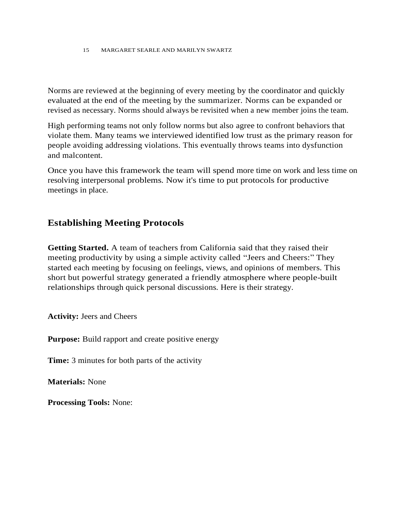15 MARGARET SEARLE AND MARILYN SWARTZ

Norms are reviewed at the beginning of every meeting by the coordinator and quickly evaluated at the end of the meeting by the summarizer. Norms can be expanded or revised as necessary. Norms should always be revisited when a new member joins the team.

High performing teams not only follow norms but also agree to confront behaviors that violate them. Many teams we interviewed identified low trust as the primary reason for people avoiding addressing violations. This eventually throws teams into dysfunction and malcontent.

Once you have this framework the team will spend more time on work and less time on resolving interpersonal problems. Now it's time to put protocols for productive meetings in place.

## **Establishing Meeting Protocols**

**Getting Started.** A team of teachers from California said that they raised their meeting productivity by using a simple activity called "Jeers and Cheers:" They started each meeting by focusing on feelings, views, and opinions of members. This short but powerful strategy generated a friendly atmosphere where people-built relationships through quick personal discussions. Here is their strategy.

**Activity:** Jeers and Cheers

**Purpose:** Build rapport and create positive energy

**Time:** 3 minutes for both parts of the activity

**Materials:** None

**Processing Tools:** None: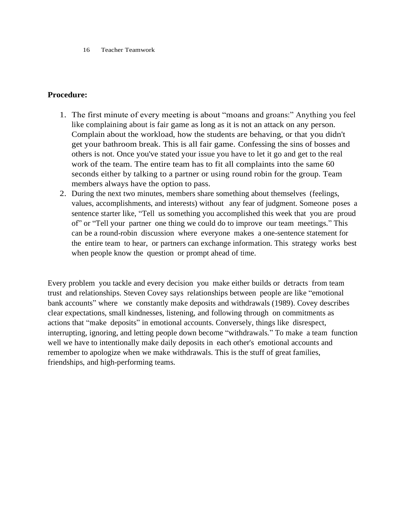16 Teacher Teamwork

### **Procedure:**

- 1. The first minute of every meeting is about "moans and groans:" Anything you feel like complaining about is fair game as long as it is not an attack on any person. Complain about the workload, how the students are behaving, or that you didn't get your bathroom break. This is all fair game. Confessing the sins of bosses and others is not. Once you've stated your issue you have to let it go and get to the real work of the team. The entire team has to fit all complaints into the same 60 seconds either by talking to a partner or using round robin for the group. Team members always have the option to pass.
- 2. During the next two minutes, members share something about themselves (feelings, values, accomplishments, and interests) without any fear of judgment. Someone poses a sentence starter like, "Tell us something you accomplished this week that you are proud of" or "Tell your partner one thing we could do to improve our team meetings." This can be a round-robin discussion where everyone makes a one-sentence statement for the entire team to hear, or partners can exchange information. This strategy works best when people know the question or prompt ahead of time.

Every problem you tackle and every decision you make either builds or detracts from team trust and relationships. Steven Covey says relationships between people are like "emotional bank accounts" where we constantly make deposits and withdrawals (1989). Covey describes clear expectations, small kindnesses, listening, and following through on commitments as actions that "make deposits" in emotional accounts. Conversely, things like disrespect, interrupting, ignoring, and letting people down become "withdrawals." To make a team function well we have to intentionally make daily deposits in each other's emotional accounts and remember to apologize when we make withdrawals. This is the stuff of great families, friendships, and high-performing teams.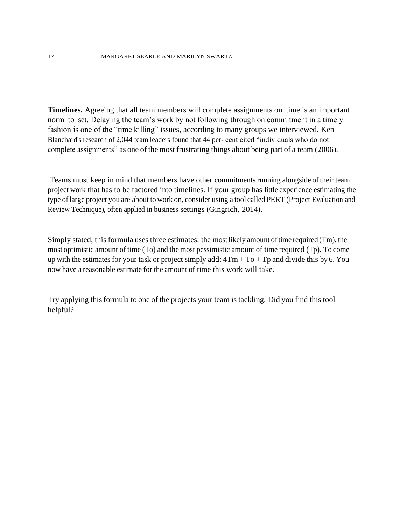**Timelines.** Agreeing that all team members will complete assignments on time is an important norm to set. Delaying the team's work by not following through on commitment in a timely fashion is one of the "time killing" issues, according to many groups we interviewed. Ken Blanchard's research of 2,044 team leaders found that 44 per- cent cited "individuals who do not complete assignments" as one of the most frustrating things about being part of a team (2006).

Teams must keep in mind that members have other commitments running alongside of their team project work that has to be factored into timelines. If your group has little experience estimating the type oflarge project you are about to work on, consider using a tool called PERT (Project Evaluation and Review Technique), often applied in business settings (Gingrich, 2014).

Simply stated, this formula uses three estimates: the most likely amount of time required  $(Tm)$ , the most optimistic amount of time (To) and the most pessimistic amount of time required (Tp). To come up with the estimates for your task or project simply add:  $4Tm + To + Tp$  and divide this by 6. You now have a reasonable estimate for the amount of time this work will take.

Try applying this formula to one of the projects your team is tackling. Did you find this tool helpful?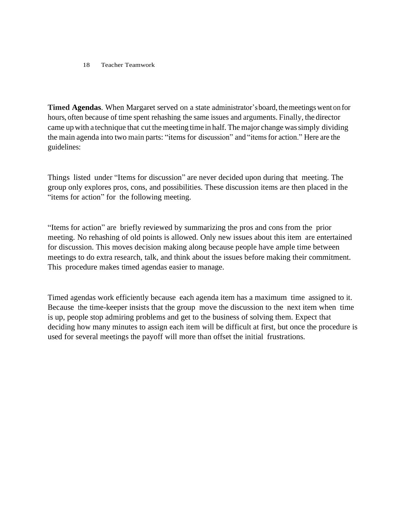#### 18 Teacher Teamwork

**Timed Agendas**. When Margaret served on a state administrator'sboard, themeetings went on for hours, often because of time spent rehashing the same issues and arguments. Finally, the director came upwith a technique that cut the meeting time in half. The major change wassimply dividing the main agenda into two main parts: "items for discussion" and "itemsfor action." Here are the guidelines:

Things listed under "Items for discussion" are never decided upon during that meeting. The group only explores pros, cons, and possibilities. These discussion items are then placed in the "items for action" for the following meeting.

"Items for action" are briefly reviewed by summarizing the pros and cons from the prior meeting. No rehashing of old points is allowed. Only new issues about this item are entertained for discussion. This moves decision making along because people have ample time between meetings to do extra research, talk, and think about the issues before making their commitment. This procedure makes timed agendas easier to manage.

Timed agendas work efficiently because each agenda item has a maximum time assigned to it. Because the time-keeper insists that the group move the discussion to the next item when time is up, people stop admiring problems and get to the business of solving them. Expect that deciding how many minutes to assign each item will be difficult at first, but once the procedure is used for several meetings the payoff will more than offset the initial frustrations.